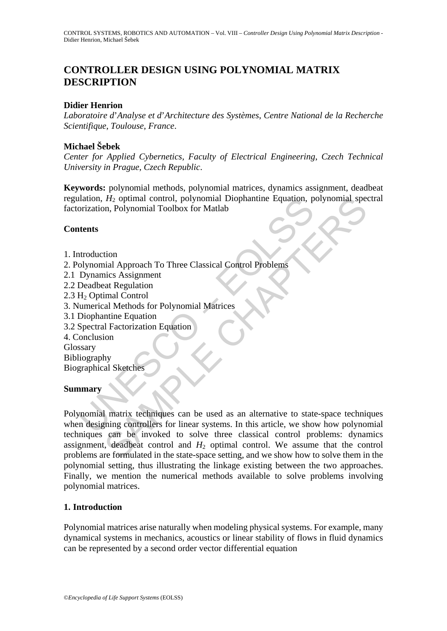# **CONTROLLER DESIGN USING POLYNOMIAL MATRIX DESCRIPTION**

## **Didier Henrion**

*Laboratoire d*'*Analyse et d*'*Architecture des Systèmes*, *Centre National de la Recherche Scientifique*, *Toulouse*, *France*.

## **Michael Šebek**

*Center for Applied Cybernetics*, *Faculty of Electrical Engineering*, *Czech Technical University in Prague*, *Czech Republic*.

**Keywords:** polynomial methods, polynomial matrices, dynamics assignment, deadbeat regulation, *H*2 optimal control, polynomial Diophantine Equation, polynomial spectral factorization, Polynomial Toolbox for Matlab

## **Contents**

- 1. Introduction
- 2. Polynomial Approach To Three Classical Control Problems
- 2.1 Dynamics Assignment
- 2.2 Deadbeat Regulation
- 2.3 H<sub>2</sub> Optimal Control
- 3. Numerical Methods for Polynomial Matrices
- 3.1 Diophantine Equation
- 3.2 Spectral Factorization Equation
- 4. Conclusion

Glossary

Bibliography

Biographical Sketches

### **Summary**

Mation, *H<sub>2</sub>* optimal control, polynomial Diophantine Equation, point orization, Polynomial Toolbox for Matlab<br> **tents**<br>
the distance of the Classical Control Problems<br>
Dynamics Assignment<br>
Deadbeat Regulation<br>
Unrerical  $H_2$  optimal control, polynomial Diophantine Equation, polynomial speed<br>nn, Polynomial Toolbox for Matlab<br>inc. Assignment<br>and Approach To Three Classical Control Problems<br>and Nethods for Polynomial Matrices<br>antine Equati Polynomial matrix techniques can be used as an alternative to state-space techniques when designing controllers for linear systems. In this article, we show how polynomial techniques can be invoked to solve three classical control problems: dynamics assignment, deadbeat control and  $H_2$  optimal control. We assume that the control problems are formulated in the state-space setting, and we show how to solve them in the polynomial setting, thus illustrating the linkage existing between the two approaches. Finally, we mention the numerical methods available to solve problems involving polynomial matrices.

### **1. Introduction**

Polynomial matrices arise naturally when modeling physical systems. For example, many dynamical systems in mechanics, acoustics or linear stability of flows in fluid dynamics can be represented by a second order vector differential equation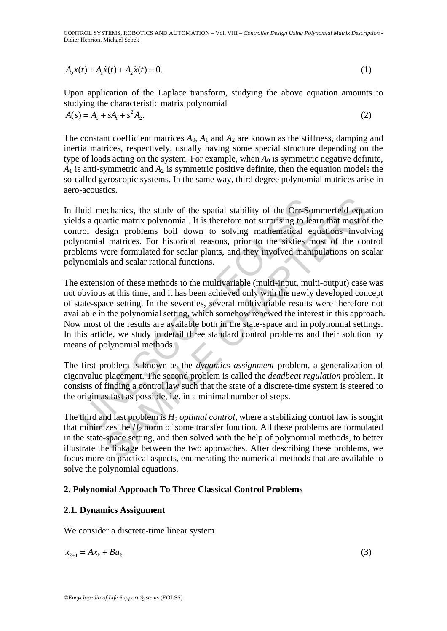CONTROL SYSTEMS, ROBOTICS AND AUTOMATION – Vol. VIII – *Controller Design Using Polynomial Matrix Description* - Didier Henrion, Michael Šebek

$$
A_0 x(t) + A_1 \dot{x}(t) + A_2 \ddot{x}(t) = 0.
$$
 (1)

Upon application of the Laplace transform, studying the above equation amounts to studying the characteristic matrix polynomial

 $A(s) = A_0 + sA_1 + s^2 A_2.$  (2)

The constant coefficient matrices  $A_0$ ,  $A_1$  and  $A_2$  are known as the stiffness, damping and inertia matrices, respectively, usually having some special structure depending on the type of loads acting on the system. For example, when  $A_0$  is symmetric negative definite,  $A_1$  is anti-symmetric and  $A_2$  is symmetric positive definite, then the equation models the so-called gyroscopic systems. In the same way, third degree polynomial matrices arise in aero-acoustics.

In fluid mechanics, the study of the spatial stability of the Orr-Sommerfeld equation yields a quartic matrix polynomial. It is therefore not surprising to learn that most of the control design problems boil down to solving mathematical equations involving polynomial matrices. For historical reasons, prior to the sixties most of the control problems were formulated for scalar plants, and they involved manipulations on scalar polynomials and scalar rational functions.

luid mechanics, the study of the spatial stability of the Orr-Sonds a quartic matrix polynomial. It is therefore not surprising to lead to leasign problems boil down to solving mathematical expondient and metrics. For his echanics, the study of the spatial stability of the Orr-Sommerfeld equaratic matrix polynomial. It is therefore not surprising to learn that most of sign problems boil down to solving mathematical equations involt matrice The extension of these methods to the multivariable (multi-input, multi-output) case was not obvious at this time, and it has been achieved only with the newly developed concept of state-space setting. In the seventies, several multivariable results were therefore not available in the polynomial setting, which somehow renewed the interest in this approach. Now most of the results are available both in the state-space and in polynomial settings. In this article, we study in detail three standard control problems and their solution by means of polynomial methods.

The first problem is known as the *dynamics assignment* problem, a generalization of eigenvalue placement. The second problem is called the *deadbeat regulation* problem. It consists of finding a control law such that the state of a discrete-time system is steered to the origin as fast as possible, i.e. in a minimal number of steps.

The third and last problem is  $H_2$  *optimal control*, where a stabilizing control law is sought that minimizes the  $H_2$  norm of some transfer function. All these problems are formulated in the state-space setting, and then solved with the help of polynomial methods, to better illustrate the linkage between the two approaches. After describing these problems, we focus more on practical aspects, enumerating the numerical methods that are available to solve the polynomial equations.

# **2. Polynomial Approach To Three Classical Control Problems**

### **2.1. Dynamics Assignment**

We consider a discrete-time linear system

$$
x_{k+1} = Ax_k + Bu_k \tag{3}
$$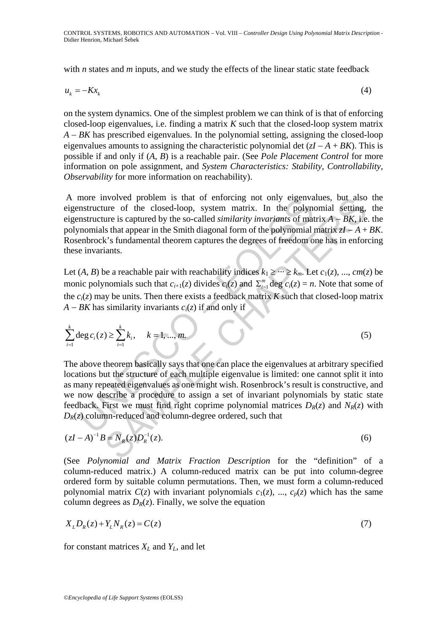with *n* states and *m* inputs, and we study the effects of the linear static state feedback

$$
u_k = -Kx_k \tag{4}
$$

on the system dynamics. One of the simplest problem we can think of is that of enforcing closed-loop eigenvalues, i.e. finding a matrix *K* such that the closed-loop system matrix *A* − *BK* has prescribed eigenvalues. In the polynomial setting, assigning the closed-loop eigenvalues amounts to assigning the characteristic polynomial det (*zI* − *A* + *BK*). This is possible if and only if (*A*, *B*) is a reachable pair. (See *Pole Placement Control* for more information on pole assignment, and *System Characteristics: Stability, Controllability, Observability* for more information on reachability).

 A more involved problem is that of enforcing not only eigenvalues, but also the eigenstructure of the closed-loop, system matrix. In the polynomial setting, the eigenstructure is captured by the so-called *similarity invariants* of matrix *A* − *BK*, i.e. the polynomials that appear in the Smith diagonal form of the polynomial matrix *zI* − *A* + *BK*. Rosenbrock's fundamental theorem captures the degrees of freedom one has in enforcing these invariants.

Let  $(A, B)$  be a reachable pair with reachability indices  $k_1 \geq \cdots \geq k_m$ . Let  $c_1(z)$ , ...,  $cm(z)$  be monic polynomials such that  $c_{i+1}(z)$  divides  $c_i(z)$  and  $\sum_{i=1}^m \deg c_i(z) = n$ . Note that some of the  $c_i(z)$  may be units. Then there exists a feedback matrix *K* such that closed-loop matrix *A* − *BK* has similarity invariants  $c_i(z)$  if and only if

$$
\sum_{i=1}^{k} \deg c_i(z) \ge \sum_{i=1}^{k} k_i, \quad k = 1, ..., m.
$$
 (5)

more involved problem is that of entorcing not only eigenva<br>nstructure of the closed-loop, system matrix. In the polymonization<br>nstructure is captured by the so-called similarity invariants of matrix<br>nomials that appear i nvolved problem is that of enforcing not only eigenvalues, but also<br>ure of the closed-loop, system matrix. In the polynomial setting<br>ure is captured by the so-called similarity invariants of matrix  $A - BK$ , i.e<br>ls that appe The above theorem basically says that one can place the eigenvalues at arbitrary specified locations but the structure of each multiple eigenvalue is limited: one cannot split it into as many repeated eigenvalues as one might wish. Rosenbrock's result is constructive, and we now describe a procedure to assign a set of invariant polynomials by static state feedback. First we must find right coprime polynomial matrices  $D_R(z)$  and  $N_R(z)$  with  $D_R(z)$  column-reduced and column-degree ordered, such that

$$
(zI - A)^{-1}B = N_R(z)D_R^{-1}(z).
$$
 (6)

(See *Polynomial and Matrix Fraction Description* for the "definition" of a column-reduced matrix.) A column-reduced matrix can be put into column-degree ordered form by suitable column permutations. Then, we must form a column-reduced polynomial matrix  $C(z)$  with invariant polynomials  $c_1(z)$ , ...,  $c_p(z)$  which has the same column degrees as  $D_R(z)$ . Finally, we solve the equation

$$
X_L D_R(z) + Y_L N_R(z) = C(z)
$$
\n<sup>(7)</sup>

for constant matrices  $X_L$  and  $Y_L$ , and let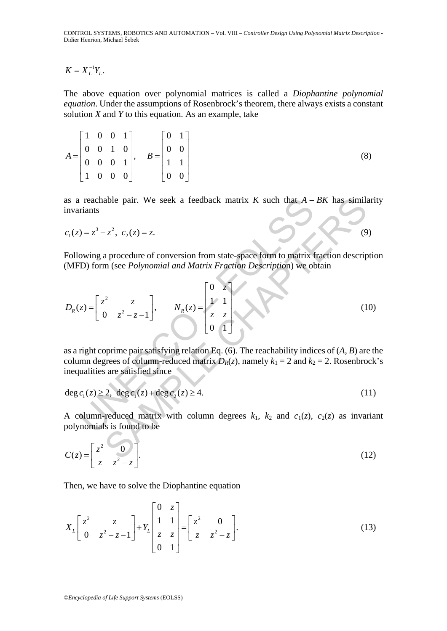$$
K=X_L^{-1}Y_L.
$$

The above equation over polynomial matrices is called a *Diophantine polynomial equation*. Under the assumptions of Rosenbrock's theorem, there always exists a constant solution *X* and *Y* to this equation. As an example, take

1 0 0 1] [0 1  $\begin{bmatrix} 0 & 0 & 1 & 0 \\ 0 & 0 & 0 & 1 \end{bmatrix}$ ,  $B = \begin{bmatrix} 0 & 0 \\ 1 & 1 \end{bmatrix}$  $1 \t0 \t0 \t0$  0 0  $A = \begin{bmatrix} 0 & 0 & 1 & 0 \\ 0 & 0 & 0 & 1 \end{bmatrix}, \quad B$  $\begin{bmatrix} 1 & 0 & 0 & 1 \end{bmatrix}$   $\begin{bmatrix} 0 & 1 \end{bmatrix}$  $\begin{vmatrix} 0 & 1 & 0 \end{vmatrix}$  $=$   $\begin{bmatrix} 0 & 0 & 1 & 0 \\ 0 & 0 & 0 & 1 \end{bmatrix}$ ,  $B=$  $\begin{bmatrix} 1 & 0 & 0 & 0 \end{bmatrix}$   $\begin{bmatrix} 0 & 0 \end{bmatrix}$ (8)

as a reachable pair. We seek a feedback matrix *K* such that *A* − *BK* has similarity invariants

$$
c_1(z) = z^3 - z^2, \ c_2(z) = z. \tag{9}
$$

Following a procedure of conversion from state-space form to matrix fraction description (MFD) form (see *Polynomial and Matrix Fraction Descriptio*n) we obtain

as a reachable pair. We seek a feedback matrix *K* such that 
$$
A - BK
$$
 has similari  
invariants  
 $c_1(z) = z^3 - z^2$ ,  $c_2(z) = z$ .  
Following a procedure of conversion from state-space form to matrix fraction description  
(MFD) form (see *Polynomial and Matrix Fraction Description*) we obtain  

$$
D_R(z) = \begin{bmatrix} z^2 & z \\ 0 & z^2 - z - 1 \end{bmatrix}, \qquad N_R(z) = \begin{bmatrix} 0 & z \\ 1 & 1 \\ z & z \\ 0 & 1 \end{bmatrix}
$$
(10)  
as a right coprime pair satisfying relation Eq. (6). The reachability indices of  $(A, B)$  are the  
column degrees of column-reduced matrix  $D_R(z)$ , namely  $k_1 = 2$  and  $k_2 = 2$ . Rosenbrock  
inequalities are satisfied since  
 $deg c_1(z) \ge 2$ ,  $deg c_1(z) + deg c_2(z) \ge 4$ .  
  
A column-reduced matrix with column degrees  $k_1$ ,  $k_2$  and  $c_1(z)$ ,  $c_2(z)$  as invariant  
polynomials is found to be  

$$
C(z) = \begin{bmatrix} z^2 & 0 \\ 0 & 1 \end{bmatrix}
$$
(12)

as a right coprime pair satisfying relation Eq. (6). The reachability indices of (*A*, *B*) are the column degrees of column-reduced matrix  $D_R(z)$ , namely  $k_1 = 2$  and  $k_2 = 2$ . Rosenbrock's inequalities are satisfied since

$$
\deg c_1(z) \ge 2, \; \deg c_1(z) + \deg c_2(z) \ge 4. \tag{11}
$$

A column-reduced matrix with column degrees  $k_1$ ,  $k_2$  and  $c_1(z)$ ,  $c_2(z)$  as invariant polynomials is found to be

$$
C(z) = \begin{bmatrix} z^2 & 0 \\ z & z^2 - z \end{bmatrix}.
$$
 (12)

Then, we have to solve the Diophantine equation

$$
X_L \begin{bmatrix} z^2 & z \\ 0 & z^2 - z - 1 \end{bmatrix} + Y_L \begin{bmatrix} 0 & z \\ 1 & 1 \\ z & z \\ 0 & 1 \end{bmatrix} = \begin{bmatrix} z^2 & 0 \\ z & z^2 - z \end{bmatrix}.
$$
 (13)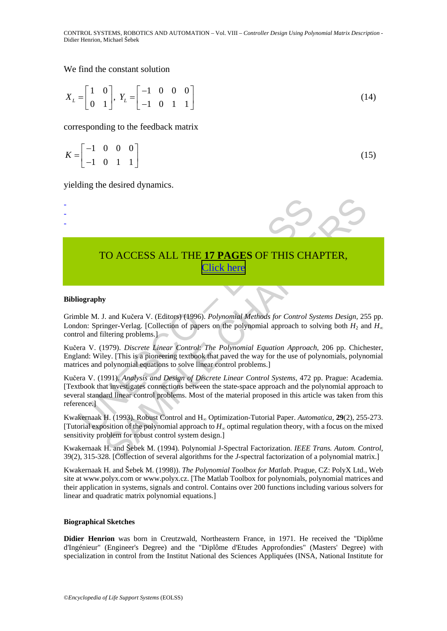CONTROL SYSTEMS, ROBOTICS AND AUTOMATION – Vol. VIII – *Controller Design Using Polynomial Matrix Description* - Didier Henrion, Michael Šebek

#### We find the constant solution

$$
X_L = \begin{bmatrix} 1 & 0 \\ 0 & 1 \end{bmatrix}, Y_L = \begin{bmatrix} -1 & 0 & 0 & 0 \\ -1 & 0 & 1 & 1 \end{bmatrix}
$$
 (14)

corresponding to the feedback matrix

$$
K = \begin{bmatrix} -1 & 0 & 0 & 0 \\ -1 & 0 & 1 & 1 \end{bmatrix} \tag{15}
$$

yielding the desired dynamics.

# TO ACCESS ALL THE **17 PAGES** OF THIS CHAPTER, Click here

#### **Bibliography**

- - -

Grimble M. J. and Kučera V. (Editors) (1996). *Polynomial Methods for Control Systems Design*, 255 pp. London: Springer-Verlag. [Collection of papers on the polynomial approach to solving both  $H_2$  and  $H_{\infty}$ control and filtering problems.]

Kučera V. (1979). *Discrete Linear Control*: *The Polynomial Equation Approach*, 206 pp. Chichester, England: Wiley. [This is a pioneering textbook that paved the way for the use of polynomials, polynomial matrices and polynomial equations to solve linear control problems.]

**TO ACCESS ALL THE 17 PAGES OF THIS CHANNA (Click here**<br> **Click here**<br> **Click here**<br> **Click here**<br> **Click here**<br> **Click here**<br> **OLSTANDA (DEAD)** (Equivalently and *Kethods for Control Syon:* Spinger-Verlag. [Collection of CO ACCESS ALL THE 17 PAGES OF THIS CHAPTER,<br>
Sand Kučera V. (Editors) (1996). *Polynomial Methods for Control Systems Design*, 25<br>
1. and Kučera V. (Editors) (1996). *Polynomial Methods for Control Systems Design*, 25<br>
1l Kučera V. (1991). *Analysis and Design of Discrete Linear Control Systems*, 472 pp. Prague: Academia. [Textbook that investigates connections between the state-space approach and the polynomial approach to several standard linear control problems. Most of the material proposed in this article was taken from this reference.]

Kwakernaak H. (1993). Robust Control and H∞ Optimization-Tutorial Paper. *Automatica*, **29**(2), 255-273. [Tutorial exposition of the polynomial approach to *H*∞ optimal regulation theory, with a focus on the mixed sensitivity problem for robust control system design.]

Kwakernaak H. and Šebek M. (1994). Polynomial J-Spectral Factorization. *IEEE Trans. Autom. Control*, 39(2), 315-328. [Collection of several algorithms for the *J*-spectral factorization of a polynomial matrix.]

Kwakernaak H. and Šebek M. (1998)). *The Polynomial Toolbox for Matlab*. Prague, CZ: PolyX Ltd., Web site at www.polyx.com or www.polyx.cz. [The Matlab Toolbox for polynomials, polynomial matrices and their application in systems, signals and control. Contains over 200 functions including various solvers for linear and quadratic matrix polynomial equations.]

#### **Biographical Sketches**

**Didier Henrion** was born in Creutzwald, Northeastern France, in 1971. He received the "Diplôme d'Ingénieur" (Engineer's Degree) and the "Diplôme d'Etudes Approfondies" (Masters' Degree) with specialization in control from the Institut National des Sciences Appliquées (INSA, National Institute for